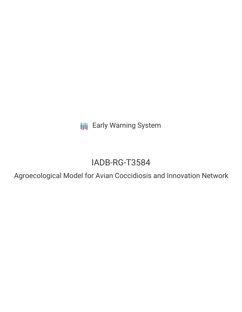**III** Early Warning System

# IADB-RG-T3584

Agroecological Model for Avian Coccidiosis and Innovation Network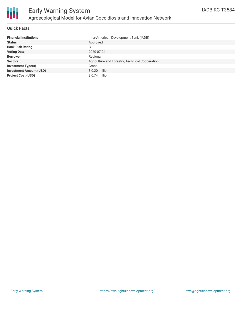

### **Quick Facts**

| <b>Financial Institutions</b>  | Inter-American Development Bank (IADB)          |
|--------------------------------|-------------------------------------------------|
| <b>Status</b>                  | Approved                                        |
| <b>Bank Risk Rating</b>        | C                                               |
| <b>Voting Date</b>             | 2020-07-24                                      |
| <b>Borrower</b>                | Regional                                        |
| <b>Sectors</b>                 | Agriculture and Forestry, Technical Cooperation |
| Investment Type(s)             | Grant                                           |
| <b>Investment Amount (USD)</b> | $$0.20$ million                                 |
| <b>Project Cost (USD)</b>      | $$0.74$ million                                 |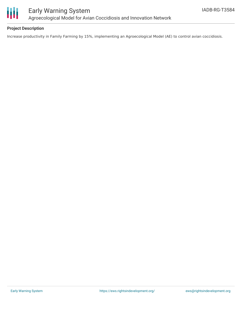

### **Project Description**

Increase productivity in Family Farming by 15%, implementing an Agroecological Model (AE) to control avian coccidiosis.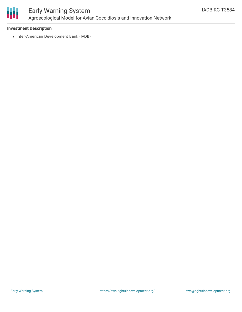

# Early Warning System Agroecological Model for Avian Coccidiosis and Innovation Network

### **Investment Description**

• Inter-American Development Bank (IADB)